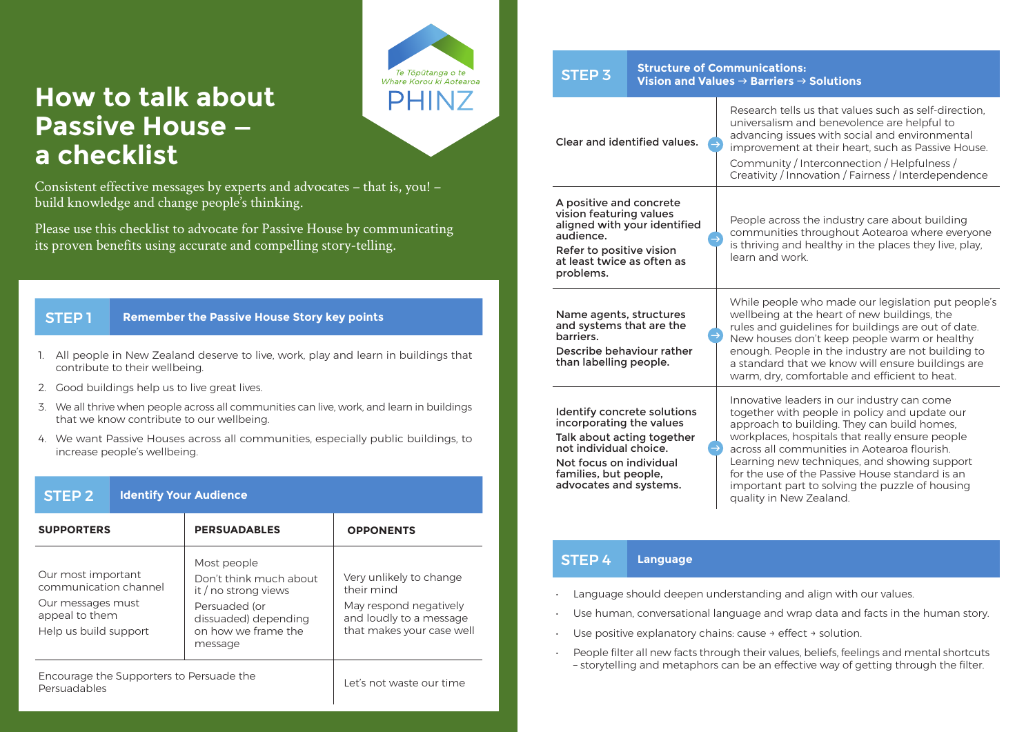## **How to talk about Passive House a checklist**

Consistent effective messages by experts and advocates – that is, you! – build knowledge and change people's thinking.

Te Tõpūtanga o te Whare Korou ki Antearos **PHINZ** 

Please use this checklist to advocate for Passive House by communicating its proven benefits using accurate and compelling story-telling.

## **STEP 1** Remember the Passive House Story key points

- 1. All people in New Zealand deserve to live, work, play and learn in buildings that contribute to their wellbeing.
- 2. Good buildings help us to live great lives.
- 3. We all thrive when people across all communities can live, work, and learn in buildings that we know contribute to our wellbeing.
- 4. We want Passive Houses across all communities, especially public buildings, to increase people's wellbeing.

| STEP <sub>2</sub>                                                                                           | <b>Identify Your Audience</b> |                                                                                                                                          |                                                                                                                         |  |
|-------------------------------------------------------------------------------------------------------------|-------------------------------|------------------------------------------------------------------------------------------------------------------------------------------|-------------------------------------------------------------------------------------------------------------------------|--|
| <b>SUPPORTERS</b>                                                                                           |                               | <b>PERSUADABLES</b>                                                                                                                      | <b>OPPONENTS</b>                                                                                                        |  |
| Our most important<br>communication channel<br>Our messages must<br>appeal to them<br>Help us build support |                               | Most people<br>Don't think much about<br>it / no strong views<br>Persuaded (or<br>dissuaded) depending<br>on how we frame the<br>message | Very unlikely to change<br>their mind<br>May respond negatively<br>and loudly to a message<br>that makes your case well |  |
| Encourage the Supporters to Persuade the<br>Persuadables                                                    |                               |                                                                                                                                          | Let's not waste our time                                                                                                |  |

| <b>Structure of Communications:</b><br><b>STEP 3</b><br>Vision and Values $\rightarrow$ Barriers $\rightarrow$ Solutions                                                                      |  |                                                                                                                                                                                                                                                                                                                                                                                                                                 |  |  |
|-----------------------------------------------------------------------------------------------------------------------------------------------------------------------------------------------|--|---------------------------------------------------------------------------------------------------------------------------------------------------------------------------------------------------------------------------------------------------------------------------------------------------------------------------------------------------------------------------------------------------------------------------------|--|--|
| Clear and identified values.                                                                                                                                                                  |  | Research tells us that values such as self-direction.<br>universalism and benevolence are helpful to<br>advancing issues with social and environmental<br>improvement at their heart, such as Passive House.<br>Community / Interconnection / Helpfulness /<br>Creativity / Innovation / Fairness / Interdependence                                                                                                             |  |  |
| A positive and concrete<br>vision featuring values<br>aligned with your identified<br>audience.<br>Refer to positive vision<br>at least twice as often as<br>problems.                        |  | People across the industry care about building<br>communities throughout Aotearoa where everyone<br>is thriving and healthy in the places they live, play,<br>learn and work.                                                                                                                                                                                                                                                   |  |  |
| Name agents, structures<br>and systems that are the<br>harriers.<br>Describe behaviour rather<br>than labelling people.                                                                       |  | While people who made our legislation put people's<br>wellbeing at the heart of new buildings, the<br>rules and guidelines for buildings are out of date.<br>New houses don't keep people warm or healthy<br>enough. People in the industry are not building to<br>a standard that we know will ensure buildings are<br>warm, dry, comfortable and efficient to heat.                                                           |  |  |
| Identify concrete solutions<br>incorporating the values<br>Talk about acting together<br>not individual choice.<br>Not focus on individual<br>families, but people,<br>advocates and systems. |  | Innovative leaders in our industry can come<br>together with people in policy and update our<br>approach to building. They can build homes,<br>workplaces, hospitals that really ensure people<br>across all communities in Aotearoa flourish.<br>Learning new techniques, and showing support<br>for the use of the Passive House standard is an<br>important part to solving the puzzle of housing<br>quality in New Zealand. |  |  |

## STEP 4 **Language**

- Language should deepen understanding and align with our values.
- Use human, conversational language and wrap data and facts in the human story.
- Use positive explanatory chains: cause → effect → solution.
- People filter all new facts through their values, beliefs, feelings and mental shortcuts – storytelling and metaphors can be an effective way of getting through the filter.